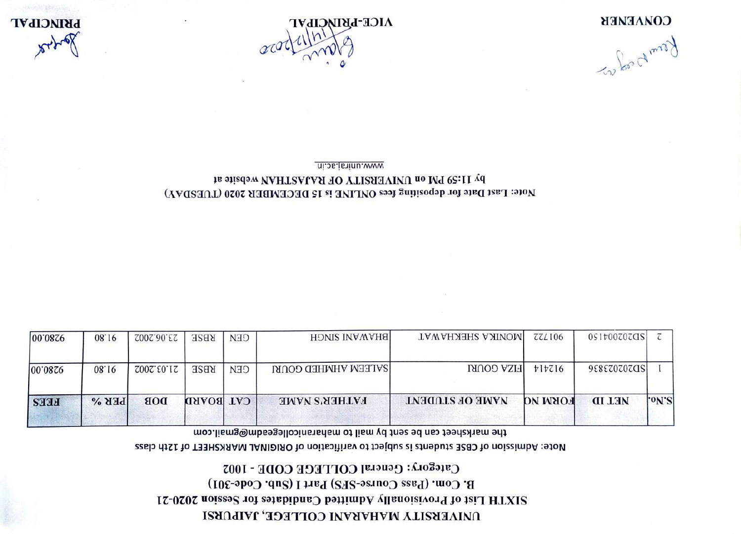# DAIAEKSILA WYHYKYNI COLLEGE, JAIPURSI 21XTH List of Provisionally Admitted Candidates for Session 2020-21 B. Com. (Pass Course-SFS) Part I (Sub. Code-301) Category: General COLLEGE CODE - 1002

#### Rote: Admission of CBSE students is subject to varification of ORIGINAL MARKSHEET of 12th class

the marksheet can be sent by mail to maharanicollegeadm@gmail.com

| 00'0876     | 08.16   | Z00Z.00.EZ | <b>RBSE</b>      | <b>CEN</b> | <b>BHAWAIR SINGH</b>       | <b>IMONIKA SHEKHAWAT</b> | <b>ZZLI06</b>  | 0917007070S   |          |
|-------------|---------|------------|------------------|------------|----------------------------|--------------------------|----------------|---------------|----------|
| 00'0876     | 08.16   | 2002.50.12 | <b>RBSE</b>      | <b>CEN</b> | <b>SALEEM AHMHED GOURI</b> | <b>HIZA GOURI</b>        | t1t716         | 9888707070S   |          |
| <b>FEES</b> | $BEB$ % | <b>DOB</b> | <b>CAT BOARD</b> |            | <b>FATHER'S NAME</b>       | NAME OF STUDENT          | <b>FORM NO</b> | <b>NET ID</b> | $ °N$ 'S |

#### Note: Last Date for depositing fees ONLINE is 15 DECEMBER 2020 (TUESDAY) by 11:59 PM on UNIVERSITY OF RAJASTHAN Website at www.uniraj.ac.in

Komp of most

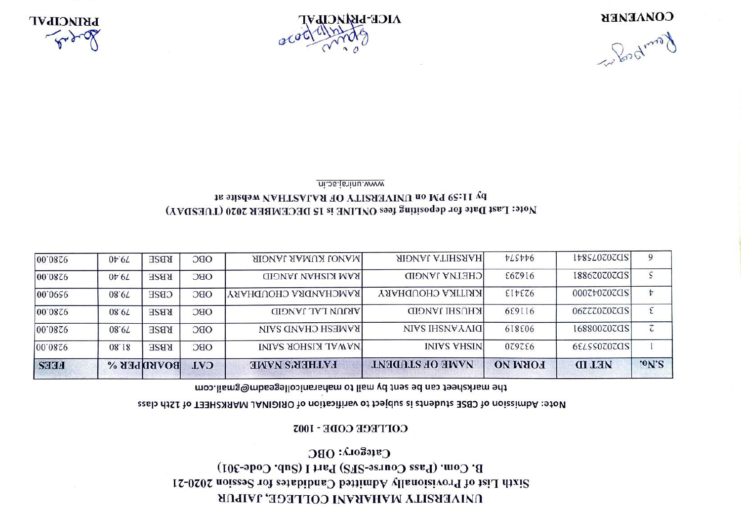### DAIAEKSILA MYHYKYAI COLLEGE, JAIPUR  $21200$  and  $21000$  sessionally  $\mu$  and  $\mu$  and  $\mu$  and  $\mu$  and  $\mu$  and  $\mu$  is  $\mu$  and  $\mu$   $\mu$  sixth  $\mu$  sixth  $\mu$  sixth  $\mu$  sixth  $\mu$  sixth  $\mu$  sixth  $\mu$  sixth  $\mu$  sixth  $\mu$  sixth  $\mu$  sixth  $\mu$  sixth B. Com. (Pass Course-SFS) Part I (Sub. Code-301) Category: OBC

#### COFFECE CODE - 1003

#### Rote: Admission of CBSE students is subject to varification of ORIGINAL MARKSHEET of 12th class

#### the marksheet can be sent by mail to maharanicollegeadmail.com

| <b>FEES</b> |                 | <b>BOVKDIFER</b> | <b>CAT</b> | <b>FATHER'S NAME</b>        | <b>INAIR OF STUDENT</b>   | <b>FORM NO</b> | <b>MET ID</b> | $°o$ N'S |
|-------------|-----------------|------------------|------------|-----------------------------|---------------------------|----------------|---------------|----------|
| 00.0826     | 08.18           | <b>RBSE</b>      | OBC        | <b>INIAR KISHOR SAINI</b>   | <b>INIVS VHSIN</b>        | 079786         | 6ELSS0Z0ZQSI  |          |
| 00'0876     | 08.6T           | <b>RBSE</b>      | OBC        | <b>RAMESH CHAND SAIN</b>    | NIVS IHSNV VAID           | 618806         | 168800707GS   | τ        |
| 00.0826     | 08.67           | <b>RB2E</b>      | OBC        | <b>ARJUN LAL JANGID</b>     | <b>KHUSHI JANGID</b>      | 69116          | 06ZZZ0Z0ZQS   |          |
| 100.0020    | 08.61           | <b>CBSE</b>      | OBC        | <b>RAMCHANDRA CHOUDHARY</b> | <b>IKRITIKA CHOUDHARY</b> | EIEZ6          | 0007+0707QS   | t        |
| 00.0826     | $0t$ 61         | <b>RBSE</b>      | OBC        | <b>RAM KISHAU JANGID</b>    | <b>CHETNA JANGID</b>      | £67916         | 188670707GS   | ζ        |
| 00.0826     | $0b$ 6 $\angle$ | <b>RBSE</b>      | OBC        | <b>IMANOJ KUMAR JANGIR</b>  | <b>HARSHITA JANGIR</b>    | PLSPP6         | [48540707025] | 9        |

# Note: Last Date for depositing fees ONLINE is 15 DECEMBER 2020 (TUESDAY) by 11:59 PM on UNIVERSITY OF RAJASTHAN Website at

www.uniraj.ac.in



Compagned

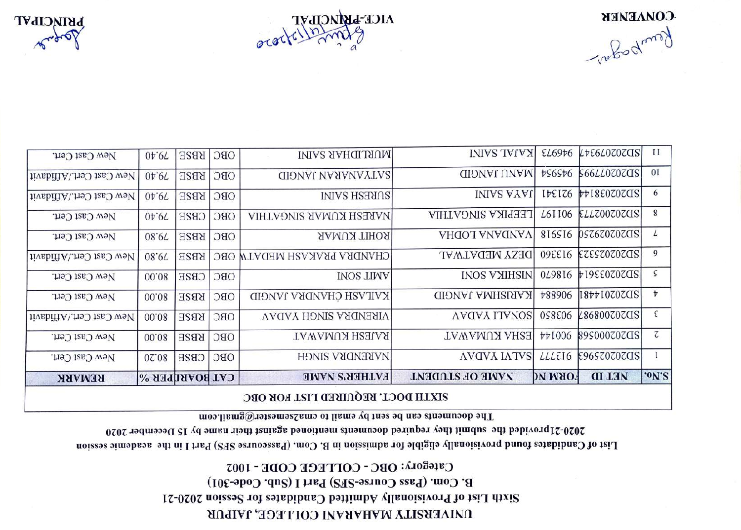### **DAIAEBSILA MYHYBYAI COLLEGE, JAIPUR** Sixth List of Provisionally Admitted Canabidates Toisses along List-21 B. Com. (Pass Course-SFS) Part I (Sub. Code-301) Category: OBC - COLLEGE CODE - 1002

List of Candidates found provisionally eligible for admission for dimensional com. (Passcourse (CaP) Part I in the academic session 2020-21 provided the submit they required documents mentioned against rish rish the 2020-2020-2020-2020

The documents can be sent by email to emazemester@gmail.com

|                          | SIXTH DOCT. REQUIRED LIST FOR OBC |                   |            |                             |                        |                                   |                       |                  |  |  |  |
|--------------------------|-----------------------------------|-------------------|------------|-----------------------------|------------------------|-----------------------------------|-----------------------|------------------|--|--|--|
| <b>REMARK</b>            | <b>CAT BOARIPER %</b>             |                   |            | <b>FATHER'S NAME</b>        | <b>TAME OF STUDENT</b> | <b>PN MAOT</b>                    | <b>NET ID</b>         | 'ON'S            |  |  |  |
| New Cast Cert.           | 07:08                             | <b>CB2E</b>       | OBC        | NARENDRA SINGH              | <b>AVOVA IATVS</b>     | LLLE <sub>16</sub>                | £965707070S           |                  |  |  |  |
| New Cast Cert.           | 00.08                             | <b>KBSE</b>       | OBC        | RAJESH KUMAWAT              | <b>TAWAMUX AHSE</b>    | <b>441006</b>                     | 89\$0007070S          | $\overline{c}$   |  |  |  |
| New Cast Cert./Affidavit | 00.08                             | <b>KBZE</b>       | OBC        | <b>VIRENDRA SINGH YADAV</b> | <b>AVOVA ITVNOS</b>    | 058806                            | L868007070S           | ε                |  |  |  |
| New Cast Cert.           | 00.08                             | <b>KBSE</b>       | OBC        | KAILASH CHANDRA JANGID      | <b>KARISHMA JANGID</b> | <b>788906</b>                     | [18771070705]         | $\boldsymbol{v}$ |  |  |  |
| New Cast Cert.           | 00.08                             | <b>CB2E</b>       | OBC        | <b>INOS LINV</b>            | <b>INOS VYIHSIN</b>    | 049816                            | <b>FI9EE0Z0ZCIS</b>   | ς                |  |  |  |
| New Cast Cert./Affidavit | 08.67                             | <b>KBSE</b>       |            | CHANDRA PRAKASH MEDATN OBC  | <b>DESY MEDATWAL</b>   | 095516                            | EZESZ0Z0ZCIS          | 9                |  |  |  |
| New Cast Cert.           | 08.67                             | <b>RBSE</b>       | <b>OBC</b> | <b>ROHIT KUMAR</b>          | ΥΗΠΟΊ ΥΝΥΠΝΥΛ          | 816516                            | DSZ6Z0Z0ZCIS          | L                |  |  |  |
| New Cast Cert.           | $0\nmid 6L$                       | <b>CBZE</b>       | OBC        | NARESH KUMAR SINGATHIA      | LEEPIKA SINGATHIA      | L6II06                            | ELLZ00Z0ZCIS          | 8                |  |  |  |
| New Cast Cert./Affidavit | $0\nu.6L$                         | <b>RBSE</b>       | OBC        | SURESH SAINI                | <b>INIAS AYAU</b>      | $I$ <i>t</i> $E$ $I$ <i>Z</i> $6$ | <b>4418602020SI</b>   | 6                |  |  |  |
| New Cast Cert./Affidavit | $0\nu$ 6 $L$                      | <b>KBSE</b>       | <b>OBC</b> | <b>GIONAL VARANAYTAS</b>    | <b>MANU JANGID</b>     | <b>756St6</b>                     | \$66 <i>LL</i> 07070S | 0 <sub>I</sub>   |  |  |  |
| New Cast Cert.           | $0\nu$ .67                        | <b>OBC</b>   KBSE |            | IMIAL ARABIAIN              | <b>INIVS TVIVYI</b>    |                                   | EL6976 LTE6L0Z0ZCIS   | $\mathbf{I}$     |  |  |  |



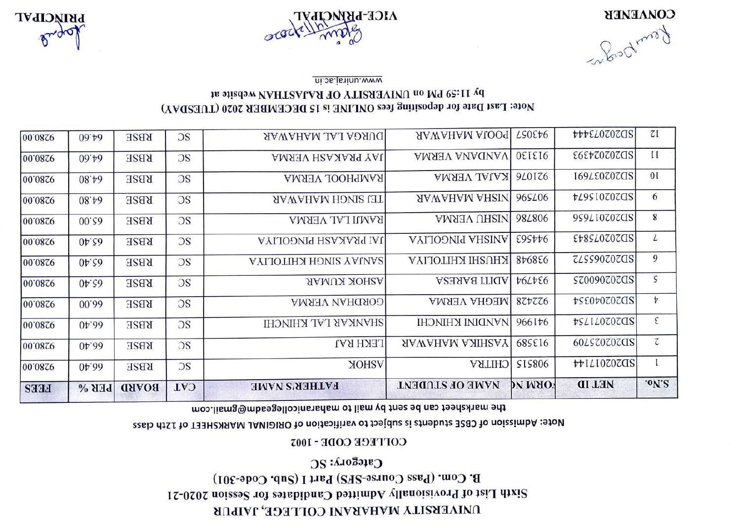# DAIAEBSILA MVHVBVAI COLLEGE, JAIPUR Sixth List of Provisionally Admitted Canababa 2020-21 Session 2020-21 B. Com. (Pass Course-SFS) Part I (Sub. Code-301) Category: SC

# COLLEGE CODE - 1002

### Note: Admission of CBSE students is stubject to varification of ORIGINAL MARKSHEET of 12th class

### the marksheet can be sent by mail to maharanicollegeadma@gmail.com

| <b>FEES</b> | $BEB$ %           | <b>BOARD</b> | <b>CAT</b> | <b>FATHER'S NAME</b>          | NAME OF STUDENT         | <b>SORM NO</b>  | <b>NET ID</b>         | 'ON'S                   |
|-------------|-------------------|--------------|------------|-------------------------------|-------------------------|-----------------|-----------------------|-------------------------|
| 00'0876     | $01$ ;99          | <b>RBSE</b>  | OS         | <b>ASHOK</b>                  | <b>CHITRA</b>           | <b>SIS806</b>   | <b>THILIOZOZOS</b>    |                         |
| 00'0876     | $0+1$ ; 0.6       | <b>KBZE</b>  | DS         | <b>LEKH RAJ</b>               | <b>TASHIKA MAHAWAR</b>  | 68SE16          | 60 <i>LS</i> 70707 02 | $\overline{\texttt{C}}$ |
| 00'0876     | $04$ ; 0.6        | <b>KBZE</b>  | OS         | SHANKAR LAL KHINCHI           | <b>IHONIHY INIGNALI</b> | 966176          | <b>PSLILOZOZOS</b>    | $\epsilon$              |
| 00.0826     | 00.00             | <b>RBSE</b>  | OS         | <b>GORDHAN VERMA</b>          | MEGHA VERMA             | 877776          | <b>PSE0POZOZOS</b>    | $\frac{1}{\sqrt{2}}$    |
| 00.0826     | $0t$ ; $50$       | <b>KBSE</b>  | OS         | <b>ASHOK KUMAR</b>            | <b>ADITI BARESA</b>     | <b>POLPEG</b>   | SZ0090Z0ZQS           | $\varsigma$             |
| 00'0876     | 0 <sub>F.50</sub> | <b>RBSE</b>  | OS         | <b>AYLIOTIHA HOMIS YAUNAS</b> | <b>KHUSHI KHILOLIYA</b> | 876886          | ZLSS90Z0ZQS           | 9                       |
| 00.0826     | $0t$ ; $\zeta$ 9  | <b>RBSE</b>  | DS         | JAI PRAKASH PINGOLIYA         | <b>AYIJOƏNIY AHSINA</b> | £95##6          | ED202020243           | $\mathcal{L}$           |
| 00.0826     | 00.56             | <b>RBSE</b>  | DS         | RAMJI LAL VERMA               | <b>MISHU VERMA</b>      | 98 <i>L</i> 806 | 9\$9L10707dS          | 8                       |
| 00'0876     | 08.40             | <b>KBSE</b>  | <b>OS</b>  | TEJ SINGH MAHAWAR             | <b>SAWAHAM AHSIN</b>    | 96SL06          | <b>tL9SI0Z0ZCIS</b>   | 6                       |
| 00'0876     | 08.40             | <b>RBSE</b>  | <b>OS</b>  | RAMPHOOL VERMA                | KAJAL VERMA             | 940176          | 169LE0707CIS          | 01                      |
| 00'0876     | 09.46             | <b>KBSE</b>  | <b>OS</b>  | JAY PRAKASH VERMA             | VANDANA VERMA           | OEIEI6          | <b>E6EtZ0Z0ZCIS</b>   | $\mathbf{I}$            |
| 00'0876     | 09.49             | <b>KBSE</b>  | OS         | DURGA LAL MAHAWAR             | <b>POOJA MAHAWAR</b>    | <b>LSOE+6</b>   | <b>APPELOZOZQZ</b>    | 7I                      |

# Note: Last Date for depositing fees ONLINE is 15 DECEMBER 2020 (TUESDAY) PA 11:29 BM on UNIVERSITY OF RAJASTHAN Website at

www.uninaj.ac.in